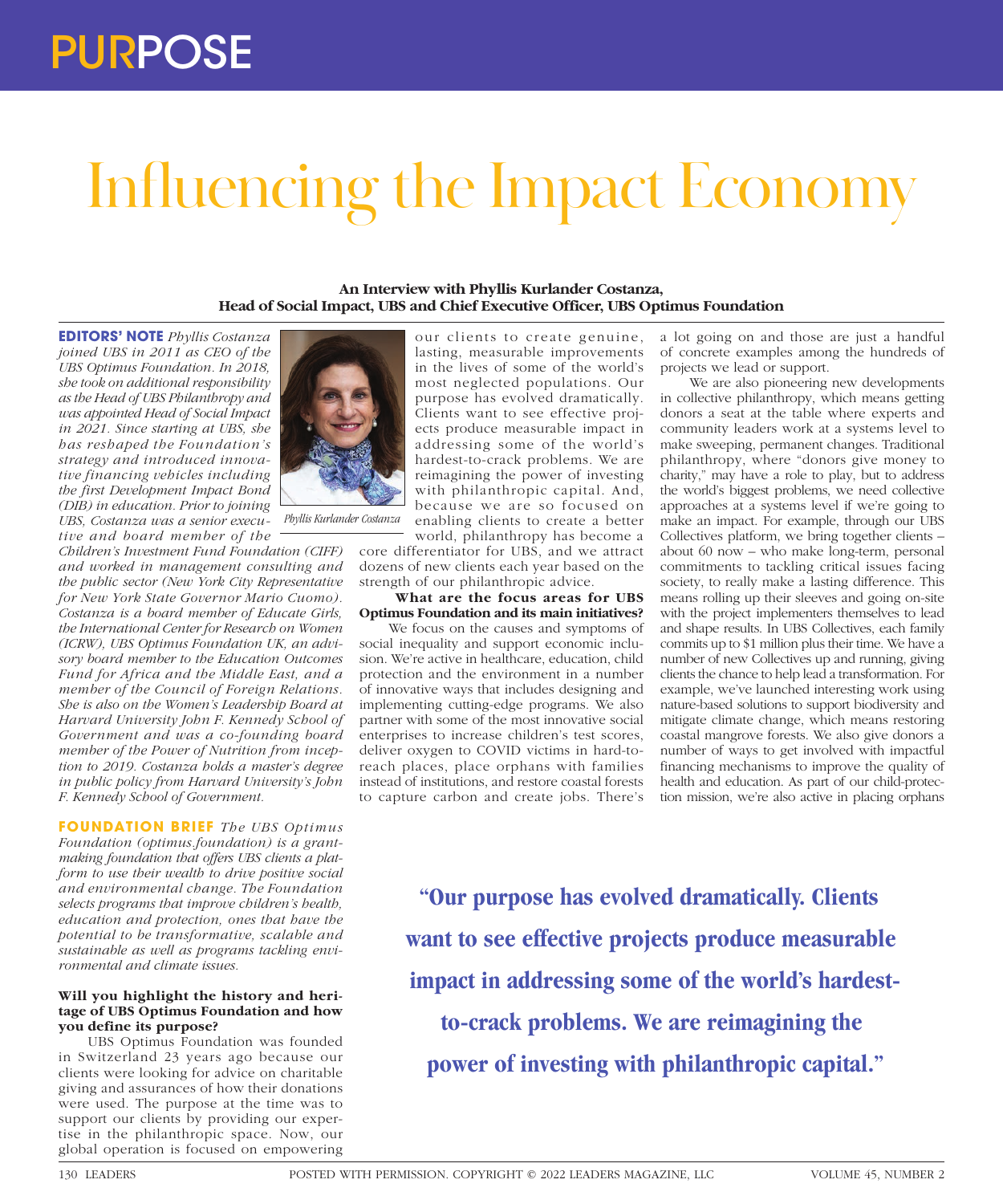# PURPOSE

# Influencing the Impact Economy

**An Interview with Phyllis Kurlander Costanza, Head of Social Impact, UBS and Chief Executive Officer, UBS Optimus Foundation**

**EDITORS' NOTE** *Phyllis Costanza joined UBS in 2011 as CEO of the UBS Optimus Foundation. In 2018, she took on additional responsibility as the Head of UBS Philanthropy and was appointed Head of Social Impact in 2021. Since starting at UBS, she has reshaped the Foundation's strategy and introduced innovative financing vehicles including the first Development Impact Bond (DIB) in education. Prior to joining UBS, Costanza was a senior executive and board member of the* 

*Children's Investment Fund Foundation (CIFF) and worked in management consulting and the public sector (New York City Representative for New York State Governor Mario Cuomo). Costanza is a board member of Educate Girls, the International Center for Research on Women (ICRW), UBS Optimus Foundation UK, an advisory board member to the Education Outcomes Fund for Africa and the Middle East, and a member of the Council of Foreign Relations. She is also on the Women's Leadership Board at Harvard University John F. Kennedy School of Government and was a co-founding board member of the Power of Nutrition from inception to 2019. Costanza holds a master's degree in public policy from Harvard University's John F. Kennedy School of Government.*

*Phyllis Kurlander Costanza*

**FOUNDATION BRIEF** *The UBS Optimus Foundation (optimus.foundation) is a grantmaking foundation that offers UBS clients a platform to use their wealth to drive positive social and environmental change. The Foundation selects programs that improve children's health, education and protection, ones that have the potential to be transformative, scalable and sustainable as well as programs tackling environmental and climate issues.*

## **Will you highlight the history and heritage of UBS Optimus Foundation and how you define its purpose?**

UBS Optimus Foundation was founded in Switzerland 23 years ago because our clients were looking for advice on charitable giving and assurances of how their donations were used. The purpose at the time was to support our clients by providing our expertise in the philanthropic space. Now, our global operation is focused on empowering



core differentiator for UBS, and we attract dozens of new clients each year based on the strength of our philanthropic advice.

#### **What are the focus areas for UBS Optimus Foundation and its main initiatives?**

We focus on the causes and symptoms of social inequality and support economic inclusion. We're active in healthcare, education, child protection and the environment in a number of innovative ways that includes designing and implementing cutting-edge programs. We also partner with some of the most innovative social enterprises to increase children's test scores, deliver oxygen to COVID victims in hard-toreach places, place orphans with families instead of institutions, and restore coastal forests to capture carbon and create jobs. There's

a lot going on and those are just a handful of concrete examples among the hundreds of projects we lead or support.

We are also pioneering new developments in collective philanthropy, which means getting donors a seat at the table where experts and community leaders work at a systems level to make sweeping, permanent changes. Traditional philanthropy, where "donors give money to charity," may have a role to play, but to address the world's biggest problems, we need collective approaches at a systems level if we're going to make an impact. For example, through our UBS Collectives platform, we bring together clients – about 60 now – who make long-term, personal commitments to tackling critical issues facing society, to really make a lasting difference. This means rolling up their sleeves and going on-site with the project implementers themselves to lead and shape results. In UBS Collectives, each family commits up to \$1 million plus their time. We have a number of new Collectives up and running, giving clients the chance to help lead a transformation. For example, we've launched interesting work using nature-based solutions to support biodiversity and mitigate climate change, which means restoring coastal mangrove forests. We also give donors a number of ways to get involved with impactful financing mechanisms to improve the quality of health and education. As part of our child-protection mission, we're also active in placing orphans

**"Our purpose has evolved dramatically. Clients want to see effective projects produce measurable impact in addressing some of the world's hardestto-crack problems. We are reimagining the power of investing with philanthropic capital."**